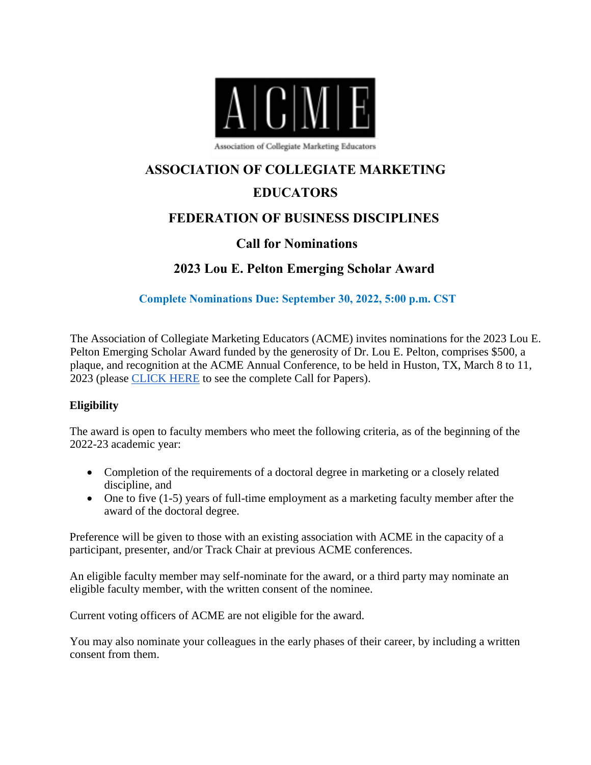

Association of Collegiate Marketing Educators

# **ASSOCIATION OF COLLEGIATE MARKETING**

## **EDUCATORS**

## **FEDERATION OF BUSINESS DISCIPLINES**

## **Call for Nominations**

## **2023 Lou E. Pelton Emerging Scholar Award**

**Complete Nominations Due: September 30, 2022, 5:00 p.m. CST** 

The Association of Collegiate Marketing Educators (ACME) invites nominations for the 2023 Lou E. Pelton Emerging Scholar Award funded by the generosity of Dr. Lou E. Pelton, comprises \$500, a plaque, and recognition at the ACME Annual Conference, to be held in Huston, TX, March 8 to 11, 2023 (please [CLICK HERE](https://frostburg-my.sharepoint.com/:b:/g/personal/lye_frostburg_edu/Ed9yNHITnVREvKXpaN7luXwBFOEKbZg4SLIZLNnmQZRLzg?e=azLFpM) to see the complete Call for Papers).

#### **Eligibility**

The award is open to faculty members who meet the following criteria, as of the beginning of the 2022-23 academic year:

- Completion of the requirements of a doctoral degree in marketing or a closely related discipline, and
- One to five (1-5) years of full-time employment as a marketing faculty member after the award of the doctoral degree.

Preference will be given to those with an existing association with ACME in the capacity of a participant, presenter, and/or Track Chair at previous ACME conferences.

An eligible faculty member may self-nominate for the award, or a third party may nominate an eligible faculty member, with the written consent of the nominee.

Current voting officers of ACME are not eligible for the award.

You may also nominate your colleagues in the early phases of their career, by including a written consent from them.